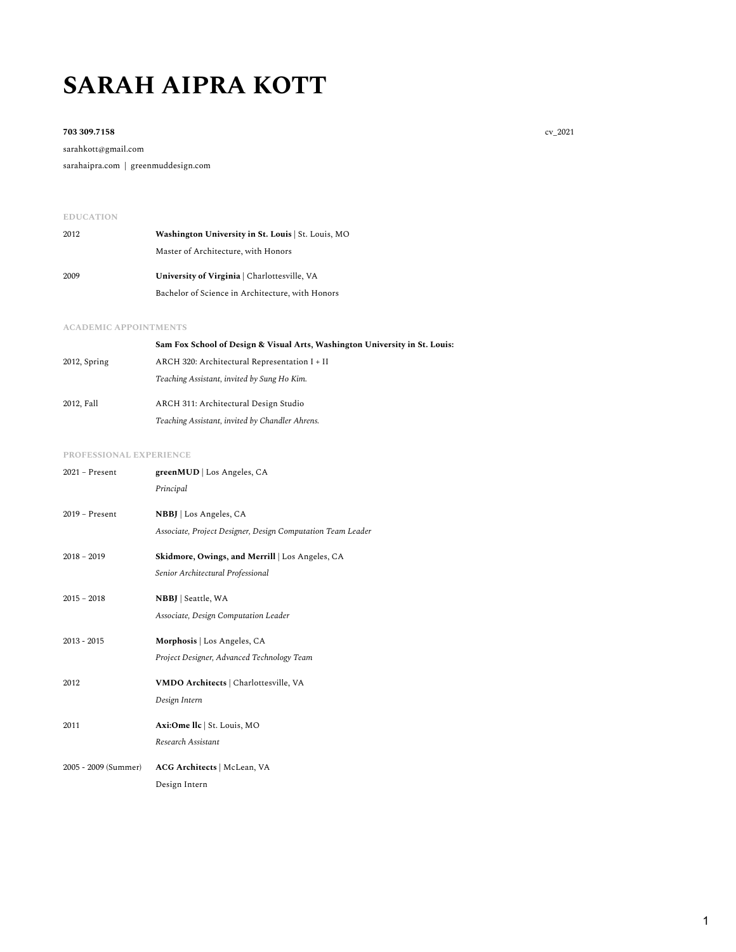# **SARAH AIPRA KOTT**

#### **703 309.7158** cv\_2021

sarahkott@gmail.com sarahaipra.com | greenmuddesign.com

## **EDUCATION**

| 2012 | Washington University in St. Louis   St. Louis, MO |
|------|----------------------------------------------------|
|      | Master of Architecture, with Honors                |
| 2009 | University of Virginia   Charlottesville, VA       |
|      | Bachelor of Science in Architecture, with Honors   |

#### **ACADEMIC APPOINTMENTS**

|              | Sam Fox School of Design & Visual Arts, Washington University in St. Louis: |
|--------------|-----------------------------------------------------------------------------|
| 2012, Spring | ARCH 320: Architectural Representation I + II                               |
|              | Teaching Assistant, invited by Sung Ho Kim.                                 |
| 2012, Fall   | ARCH 311: Architectural Design Studio                                       |
|              | Teaching Assistant, invited by Chandler Ahrens.                             |

#### **PROFESSIONAL EXPERIENCE**

| $2021 -$ Present     | greenMUD   Los Angeles, CA<br>Principal                                               |
|----------------------|---------------------------------------------------------------------------------------|
| $2019 -$ Present     | NBBJ   Los Angeles, CA<br>Associate, Project Designer, Design Computation Team Leader |
| $2018 - 2019$        | Skidmore, Owings, and Merrill   Los Angeles, CA<br>Senior Architectural Professional  |
| $2015 - 2018$        | <b>NBBJ</b>   Seattle, WA<br>Associate, Design Computation Leader                     |
| $2013 - 2015$        | Morphosis   Los Angeles, CA<br>Project Designer, Advanced Technology Team             |
| 2012                 | VMDO Architects   Charlottesville, VA<br>Design Intern                                |
| 2011                 | Axi:Ome llc   St. Louis, MO<br>Research Assistant                                     |
| 2005 - 2009 (Summer) | ACG Architects   McLean, VA<br>Design Intern                                          |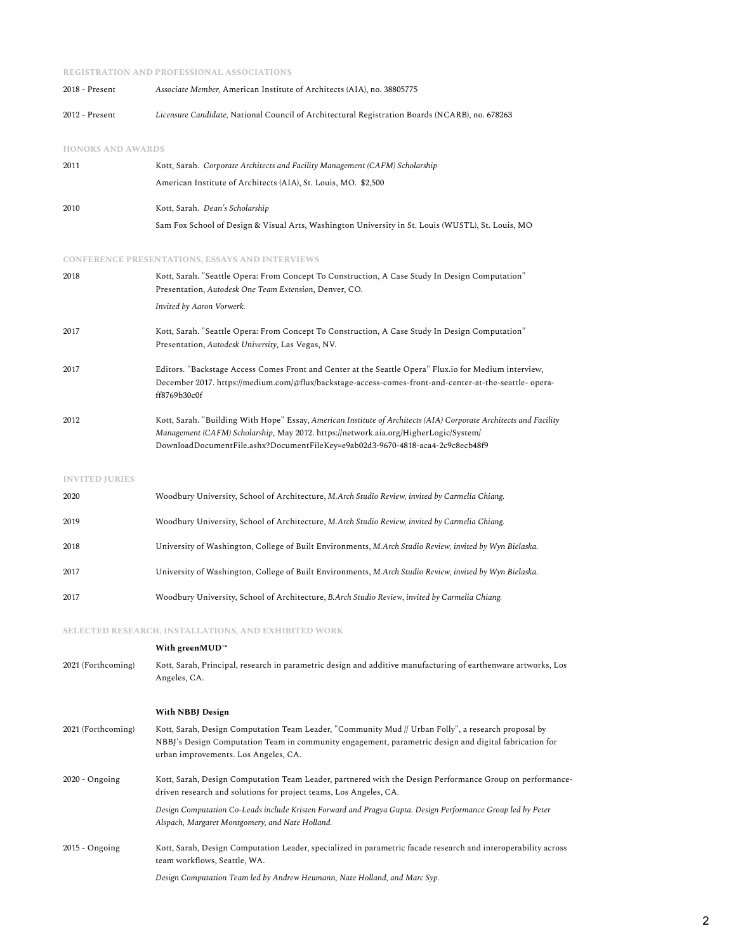#### **REGISTRATION AND PROFESSIONAL ASSOCIATIONS**

| 2018 - Present | Associate Member, American Institute of Architects (AIA), no. 38805775                         |
|----------------|------------------------------------------------------------------------------------------------|
| 2012 - Present | Licensure Candidate, National Council of Architectural Registration Boards (NCARB), no. 678263 |

#### **HONORS AND AWARDS**

| 2011 | Kott, Sarah. Corporate Architects and Facility Management (CAFM) Scholarship                      |
|------|---------------------------------------------------------------------------------------------------|
|      | American Institute of Architects (AIA), St. Louis, MO. \$2,500                                    |
| 2010 | Kott, Sarah. Dean's Scholarship                                                                   |
|      | Sam Fox School of Design & Visual Arts, Washington University in St. Louis (WUSTL), St. Louis, MO |

#### **CONFERENCE PRESENTATIONS, ESSAYS AND INTERVIEWS**

| 2018 | Kott, Sarah. "Seattle Opera: From Concept To Construction, A Case Study In Design Computation"                         |
|------|------------------------------------------------------------------------------------------------------------------------|
|      | Presentation, Autodesk One Team Extension, Denver, CO.                                                                 |
|      | Invited by Aaron Vorwerk.                                                                                              |
| 2017 | Kott, Sarah. "Seattle Opera: From Concept To Construction, A Case Study In Design Computation"                         |
|      | Presentation, Autodesk University, Las Vegas, NV.                                                                      |
| 2017 | Editors. "Backstage Access Comes Front and Center at the Seattle Opera" Flux.io for Medium interview,                  |
|      | December 2017. https://medium.com/@flux/backstage-access-comes-front-and-center-at-the-seattle- opera-<br>ff8769b30c0f |
| 2012 | Kott, Sarah. "Building With Hope" Essay, American Institute of Architects (AIA) Corporate Architects and Facility      |
|      | Management (CAFM) Scholarship, May 2012. https://network.aia.org/HigherLogic/System/                                   |
|      | DownloadDocumentFile.ashx?DocumentFileKey=e9ab02d3-9670-4818-aca4-2c9c8ecb48f9                                         |

#### **INVITED JURIES**

| 2020 | Woodbury University, School of Architecture, M.Arch Studio Review, invited by Carmelia Chiang.          |
|------|---------------------------------------------------------------------------------------------------------|
| 2019 | Woodbury University, School of Architecture, M.Arch Studio Review, invited by Carmelia Chiang.          |
| 2018 | University of Washington, College of Built Environments, M.Arch Studio Review, invited by Wyn Bielaska. |
| 2017 | University of Washington, College of Built Environments, M.Arch Studio Review, invited by Wyn Bielaska. |
| 2017 | Woodbury University, School of Architecture, B.Arch Studio Review, invited by Carmelia Chiang.          |

## **SELECTED RESEARCH, INSTALLATIONS, AND EXHIBITED WORK**

## **With greenMUD™**

# 2021 (Forthcoming) Kott, Sarah, Principal, research in parametric design and additive manufacturing of earthenware artworks, Los Angeles, CA.

#### **With NBBJ Design**

2021 (Forthcoming) Kott, Sarah, Design Computation Team Leader, "Community Mud // Urban Folly", a research proposal by NBBJ's Design Computation Team in community engagement, parametric design and digital fabrication for urban improvements. Los Angeles, CA. 2020 - Ongoing Kott, Sarah, Design Computation Team Leader, partnered with the Design Performance Group on performancedriven research and solutions for project teams, Los Angeles, CA. *Design Computation Co-Leads include Kristen Forward and Pragya Gupta. Design Performance Group led by Peter Alspach, Margaret Montgomery, and Nate Holland.* 2015 - Ongoing Kott, Sarah, Design Computation Leader, specialized in parametric facade research and interoperability across team workflows, Seattle, WA.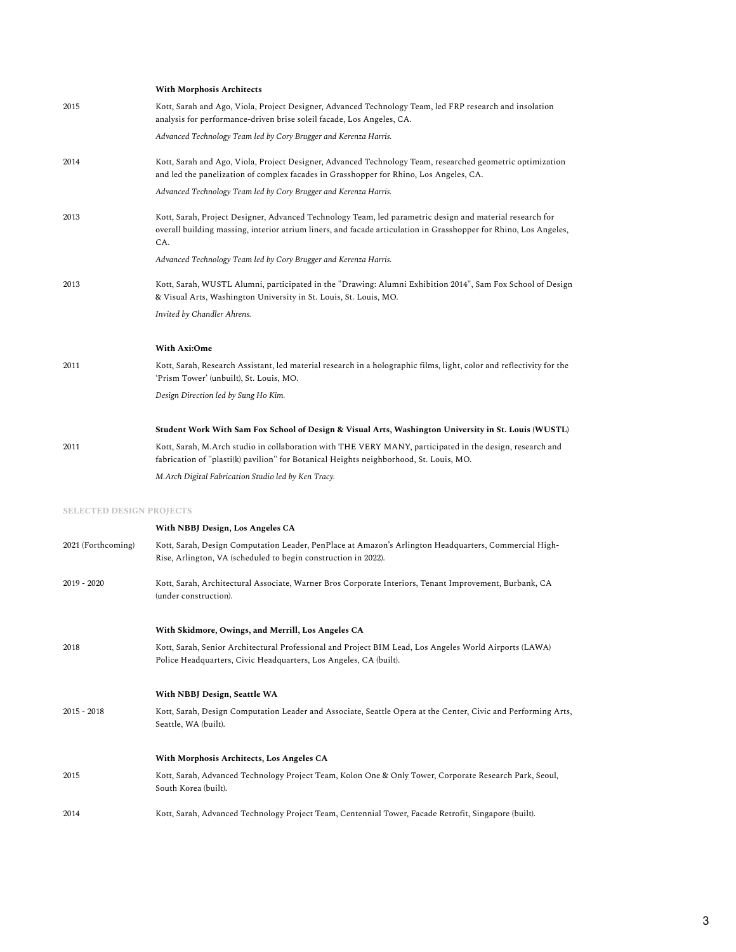|                                 | <b>With Morphosis Architects</b>                                                                                                                                                                                                    |
|---------------------------------|-------------------------------------------------------------------------------------------------------------------------------------------------------------------------------------------------------------------------------------|
| 2015                            | Kott, Sarah and Ago, Viola, Project Designer, Advanced Technology Team, led FRP research and insolation<br>analysis for performance-driven brise soleil facade, Los Angeles, CA.                                                    |
|                                 | Advanced Technology Team led by Cory Brugger and Kerenza Harris.                                                                                                                                                                    |
| 2014                            | Kott, Sarah and Ago, Viola, Project Designer, Advanced Technology Team, researched geometric optimization<br>and led the panelization of complex facades in Grasshopper for Rhino, Los Angeles, CA.                                 |
|                                 | Advanced Technology Team led by Cory Brugger and Kerenza Harris.                                                                                                                                                                    |
| 2013                            | Kott, Sarah, Project Designer, Advanced Technology Team, led parametric design and material research for<br>overall building massing, interior atrium liners, and facade articulation in Grasshopper for Rhino, Los Angeles,<br>CA. |
|                                 | Advanced Technology Team led by Cory Brugger and Kerenza Harris.                                                                                                                                                                    |
| 2013                            | Kott, Sarah, WUSTL Alumni, participated in the "Drawing: Alumni Exhibition 2014", Sam Fox School of Design<br>& Visual Arts, Washington University in St. Louis, St. Louis, MO.                                                     |
|                                 | Invited by Chandler Ahrens.                                                                                                                                                                                                         |
|                                 | With Axi:Ome                                                                                                                                                                                                                        |
| 2011                            | Kott, Sarah, Research Assistant, led material research in a holographic films, light, color and reflectivity for the<br>'Prism Tower' (unbuilt), St. Louis, MO.                                                                     |
|                                 | Design Direction led by Sung Ho Kim.                                                                                                                                                                                                |
|                                 | Student Work With Sam Fox School of Design & Visual Arts, Washington University in St. Louis (WUSTL)                                                                                                                                |
| 2011                            | Kott, Sarah, M.Arch studio in collaboration with THE VERY MANY, participated in the design, research and<br>fabrication of "plasti(k) pavilion" for Botanical Heights neighborhood, St. Louis, MO.                                  |
|                                 | M.Arch Digital Fabrication Studio led by Ken Tracy.                                                                                                                                                                                 |
| <b>SELECTED DESIGN PROJECTS</b> |                                                                                                                                                                                                                                     |
|                                 | With NBBJ Design, Los Angeles CA                                                                                                                                                                                                    |
| 2021 (Forthcoming)              | Kott, Sarah, Design Computation Leader, PenPlace at Amazon's Arlington Headquarters, Commercial High-<br>Rise, Arlington, VA (scheduled to begin construction in 2022).                                                             |
| $2019 - 2020$                   | Kott, Sarah, Architectural Associate, Warner Bros Corporate Interiors, Tenant Improvement, Burbank, CA<br>(under construction).                                                                                                     |
|                                 | With Skidmore, Owings, and Merrill, Los Angeles CA                                                                                                                                                                                  |
| 2018                            | Kott, Sarah, Senior Architectural Professional and Project BIM Lead, Los Angeles World Airports (LAWA)<br>Police Headquarters, Civic Headquarters, Los Angeles, CA (built).                                                         |

**With NBBJ Design, Seattle WA**

| 2015 - 2018 | Kott, Sarah, Design Computation Leader and Associate, Seattle Opera at the Center, Civic and Performing Arts, |
|-------------|---------------------------------------------------------------------------------------------------------------|
|             | Seattle, WA (built).                                                                                          |

## **With Morphosis Architects, Los Angeles CA**

| 2015 | Kott, Sarah, Advanced Technology Project Team, Kolon One & Only Tower, Corporate Research Park, Seoul, |
|------|--------------------------------------------------------------------------------------------------------|
|      | South Korea (built).                                                                                   |
|      |                                                                                                        |

2014 Kott, Sarah, Advanced Technology Project Team, Centennial Tower, Facade Retrofit, Singapore (built).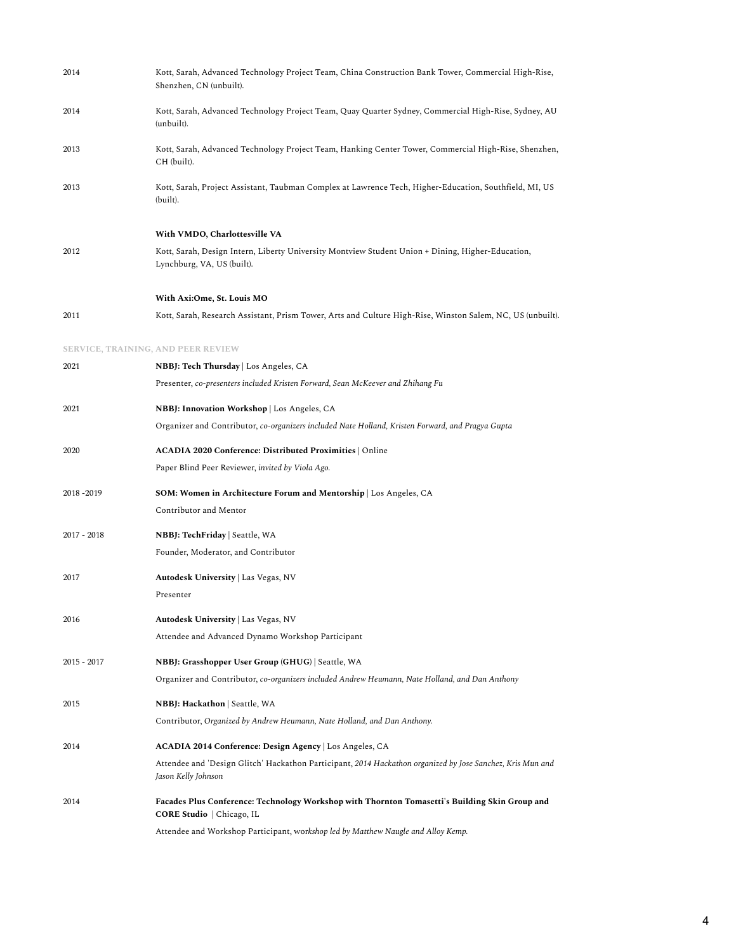| 2014                               | Kott, Sarah, Advanced Technology Project Team, China Construction Bank Tower, Commercial High-Rise,<br>Shenzhen, CN (unbuilt).    |
|------------------------------------|-----------------------------------------------------------------------------------------------------------------------------------|
| 2014                               | Kott, Sarah, Advanced Technology Project Team, Quay Quarter Sydney, Commercial High-Rise, Sydney, AU<br>(unbuilt).                |
| 2013                               | Kott, Sarah, Advanced Technology Project Team, Hanking Center Tower, Commercial High-Rise, Shenzhen,<br>CH (built).               |
| 2013                               | Kott, Sarah, Project Assistant, Taubman Complex at Lawrence Tech, Higher-Education, Southfield, MI, US<br>(built).                |
|                                    | With VMDO, Charlottesville VA                                                                                                     |
| 2012                               | Kott, Sarah, Design Intern, Liberty University Montview Student Union + Dining, Higher-Education,<br>Lynchburg, VA, US (built).   |
|                                    | With Axi:Ome, St. Louis MO                                                                                                        |
| 2011                               | Kott, Sarah, Research Assistant, Prism Tower, Arts and Culture High-Rise, Winston Salem, NC, US (unbuilt).                        |
| SERVICE, TRAINING, AND PEER REVIEW |                                                                                                                                   |
| 2021                               | NBBJ: Tech Thursday   Los Angeles, CA                                                                                             |
|                                    | Presenter, co-presenters included Kristen Forward, Sean McKeever and Zhihang Fu                                                   |
| 2021                               | NBBJ: Innovation Workshop   Los Angeles, CA                                                                                       |
|                                    | Organizer and Contributor, co-organizers included Nate Holland, Kristen Forward, and Pragya Gupta                                 |
| 2020                               | <b>ACADIA 2020 Conference: Distributed Proximities</b>   Online                                                                   |
|                                    | Paper Blind Peer Reviewer, invited by Viola Ago.                                                                                  |
| 2018-2019                          | <b>SOM: Women in Architecture Forum and Mentorship</b> Los Angeles, CA                                                            |
|                                    | Contributor and Mentor                                                                                                            |
| $2017 - 2018$                      | <b>NBBJ: TechFriday   Seattle, WA</b>                                                                                             |
|                                    | Founder, Moderator, and Contributor                                                                                               |
| 2017                               | Autodesk University   Las Vegas, NV                                                                                               |
|                                    | Presenter                                                                                                                         |
| 2016                               | <b>Autodesk University</b>   Las Vegas, NV                                                                                        |
|                                    | Attendee and Advanced Dynamo Workshop Participant                                                                                 |
| $2015 - 2017$                      | NBBJ: Grasshopper User Group (GHUG)   Seattle, WA                                                                                 |
|                                    | Organizer and Contributor, co-organizers included Andrew Heumann, Nate Holland, and Dan Anthony                                   |
| 2015                               | <b>NBBJ: Hackathon   Seattle, WA</b>                                                                                              |
|                                    | Contributor, Organized by Andrew Heumann, Nate Holland, and Dan Anthony.                                                          |
| 2014                               | ACADIA 2014 Conference: Design Agency   Los Angeles, CA                                                                           |
|                                    | Attendee and 'Design Glitch' Hackathon Participant, 2014 Hackathon organized by Jose Sanchez, Kris Mun and<br>Jason Kelly Johnson |
| 2014                               | Facades Plus Conference: Technology Workshop with Thornton Tomasetti's Building Skin Group and<br>CORE Studio   Chicago, IL       |
|                                    | Attendee and Workshop Participant, workshop led by Matthew Naugle and Alloy Kemp.                                                 |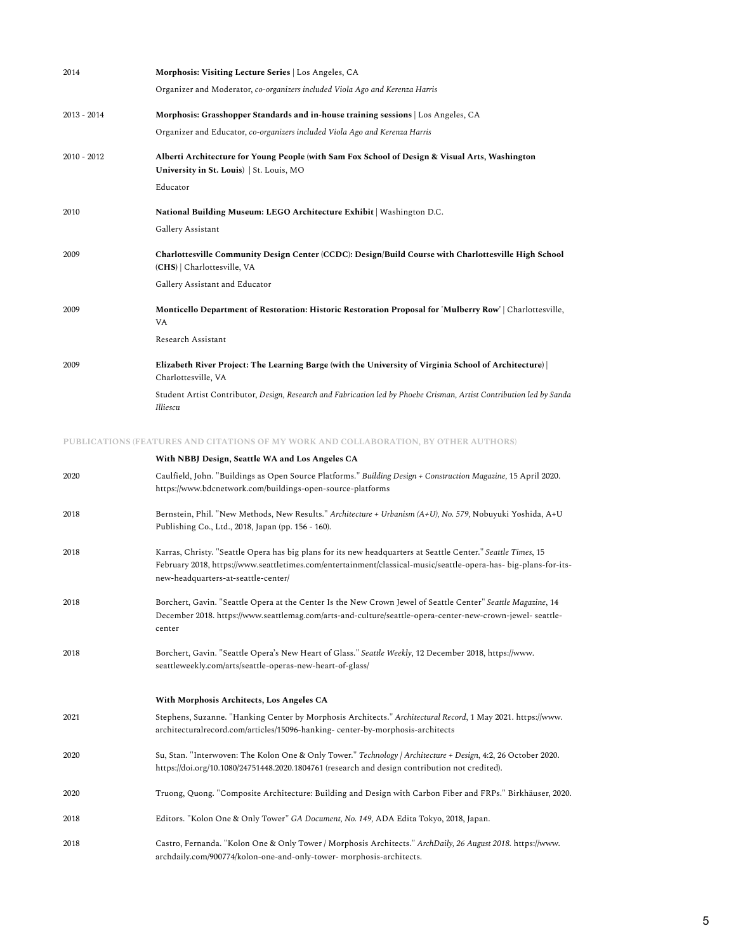| 2014          | Morphosis: Visiting Lecture Series   Los Angeles, CA                                                                                       |
|---------------|--------------------------------------------------------------------------------------------------------------------------------------------|
|               | Organizer and Moderator, co-organizers included Viola Ago and Kerenza Harris                                                               |
| $2013 - 2014$ | Morphosis: Grasshopper Standards and in-house training sessions   Los Angeles, CA                                                          |
|               | Organizer and Educator, co-organizers included Viola Ago and Kerenza Harris                                                                |
| $2010 - 2012$ | Alberti Architecture for Young People (with Sam Fox School of Design & Visual Arts, Washington<br>University in St. Louis)   St. Louis, MO |
|               | Educator                                                                                                                                   |
| 2010          | National Building Museum: LEGO Architecture Exhibit   Washington D.C.                                                                      |
|               | Gallery Assistant                                                                                                                          |
| 2009          | Charlottesville Community Design Center (CCDC): Design/Build Course with Charlottesville High School<br>(CHS)   Charlottesville, VA        |
|               | Gallery Assistant and Educator                                                                                                             |
| 2009          | Monticello Department of Restoration: Historic Restoration Proposal for 'Mulberry Row'   Charlottesville,<br><b>VA</b>                     |
|               | Research Assistant                                                                                                                         |
| 2009          | Elizabeth River Project: The Learning Barge (with the University of Virginia School of Architecture)  <br>Charlottesville, VA              |
|               | Student Artist Contributor, Design, Research and Fabrication led by Phoebe Crisman, Artist Contribution led by Sanda<br>Illiescu           |

#### **PUBLICATIONS (FEATURES AND CITATIONS OF MY WORK AND COLLABORATION, BY OTHER AUTHORS)**

|      | With NBBJ Design, Seattle WA and Los Angeles CA                                                                                                                                                                                                                        |
|------|------------------------------------------------------------------------------------------------------------------------------------------------------------------------------------------------------------------------------------------------------------------------|
| 2020 | Caulfield, John. "Buildings as Open Source Platforms." Building Design + Construction Magazine, 15 April 2020.<br>https://www.bdcnetwork.com/buildings-open-source-platforms                                                                                           |
| 2018 | Bernstein, Phil. "New Methods, New Results." Architecture + Urbanism (A+U), No. 579, Nobuyuki Yoshida, A+U<br>Publishing Co., Ltd., 2018, Japan (pp. 156 - 160).                                                                                                       |
| 2018 | Karras, Christy. "Seattle Opera has big plans for its new headquarters at Seattle Center." Seattle Times, 15<br>February 2018, https://www.seattletimes.com/entertainment/classical-music/seattle-opera-has- big-plans-for-its-<br>new-headquarters-at-seattle-center/ |
| 2018 | Borchert, Gavin. "Seattle Opera at the Center Is the New Crown Jewel of Seattle Center" Seattle Magazine, 14<br>December 2018. https://www.seattlemag.com/arts-and-culture/seattle-opera-center-new-crown-jewel- seattle-<br>center                                    |
| 2018 | Borchert, Gavin. "Seattle Opera's New Heart of Glass." Seattle Weekly, 12 December 2018, https://www.<br>seattleweekly.com/arts/seattle-operas-new-heart-of-glass/                                                                                                     |
|      | With Morphosis Architects, Los Angeles CA                                                                                                                                                                                                                              |
| 2021 | Stephens, Suzanne. "Hanking Center by Morphosis Architects." Architectural Record, 1 May 2021. https://www.<br>architecturalrecord.com/articles/15096-hanking-center-by-morphosis-architects                                                                           |
| 2020 | Su, Stan. "Interwoven: The Kolon One & Only Tower." Technology   Architecture + Design, 4:2, 26 October 2020.<br>https://doi.org/10.1080/24751448.2020.1804761 (research and design contribution not credited).                                                        |
| 2020 | Truong, Quong. "Composite Architecture: Building and Design with Carbon Fiber and FRPs." Birkhäuser, 2020.                                                                                                                                                             |
| 2018 | Editors. "Kolon One & Only Tower" GA Document, No. 149, ADA Edita Tokyo, 2018, Japan.                                                                                                                                                                                  |
| 2018 | Castro, Fernanda. "Kolon One & Only Tower / Morphosis Architects." ArchDaily, 26 August 2018. https://www.<br>archdaily.com/900774/kolon-one-and-only-tower- morphosis-architects.                                                                                     |